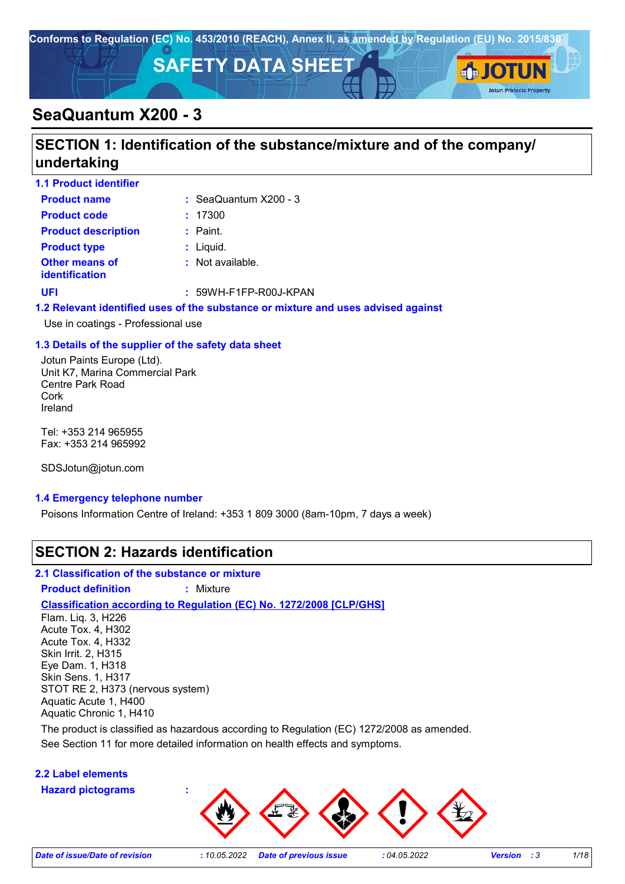

## **SECTION 1: Identification of the substance/mixture and of the company/ undertaking**

| <b>1.1 Product identifier</b>                  |                                                                                                                 |
|------------------------------------------------|-----------------------------------------------------------------------------------------------------------------|
| <b>Product name</b>                            | $\therefore$ SeaQuantum X200 - 3                                                                                |
| <b>Product code</b>                            | : 17300                                                                                                         |
| <b>Product description</b>                     | $:$ Paint.                                                                                                      |
| <b>Product type</b>                            | $:$ Liquid.                                                                                                     |
| <b>Other means of</b><br><b>identification</b> | $:$ Not available.                                                                                              |
| UFI                                            | $: 59WH-F1FP-R00J-KPAN$                                                                                         |
|                                                | ALA Material Charlette des la constitución de la constitución de la constitución de la constitución de la const |

#### **1.2 Relevant identified uses of the substance or mixture and uses advised against**

Use in coatings - Professional use

#### **1.3 Details of the supplier of the safety data sheet**

Jotun Paints Europe (Ltd). Unit K7, Marina Commercial Park Centre Park Road Cork Ireland

Tel: +353 214 965955 Fax: +353 214 965992

SDSJotun@jotun.com

#### **1.4 Emergency telephone number**

Poisons Information Centre of Ireland: +353 1 809 3000 (8am-10pm, 7 days a week)

## **SECTION 2: Hazards identification**

#### **2.1 Classification of the substance or mixture**

**Product definition :** Mixture

#### **Classification according to Regulation (EC) No. 1272/2008 [CLP/GHS]**

Flam. Liq. 3, H226 Acute Tox. 4, H302 Acute Tox. 4, H332 Skin Irrit. 2, H315 Eye Dam. 1, H318 Skin Sens. 1, H317 STOT RE 2, H373 (nervous system) Aquatic Acute 1, H400 Aquatic Chronic 1, H410

See Section 11 for more detailed information on health effects and symptoms. The product is classified as hazardous according to Regulation (EC) 1272/2008 as amended.

#### **2.2 Label elements**

**Hazard pictograms :**



**Jotun Protects Property**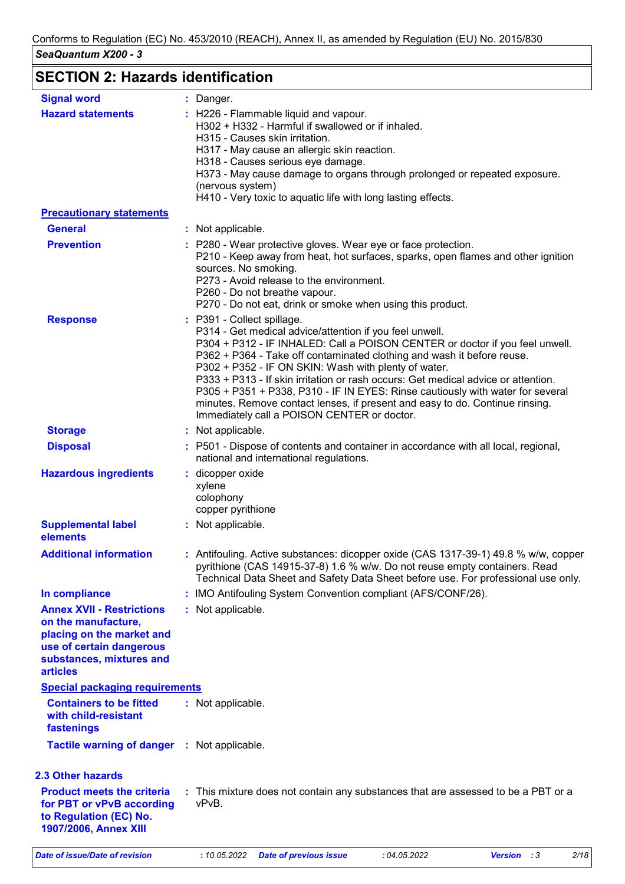## **SECTION 2: Hazards identification**

| <b>Signal word</b>                                                                                                                                              | : Danger.                                                                                                                                                                                                                                                                                                                                                                                                                                                                                                                                                                                                     |
|-----------------------------------------------------------------------------------------------------------------------------------------------------------------|---------------------------------------------------------------------------------------------------------------------------------------------------------------------------------------------------------------------------------------------------------------------------------------------------------------------------------------------------------------------------------------------------------------------------------------------------------------------------------------------------------------------------------------------------------------------------------------------------------------|
| <b>Hazard statements</b>                                                                                                                                        | : H226 - Flammable liquid and vapour.<br>H302 + H332 - Harmful if swallowed or if inhaled.<br>H315 - Causes skin irritation.<br>H317 - May cause an allergic skin reaction.<br>H318 - Causes serious eye damage.<br>H373 - May cause damage to organs through prolonged or repeated exposure.<br>(nervous system)<br>H410 - Very toxic to aquatic life with long lasting effects.                                                                                                                                                                                                                             |
| <b>Precautionary statements</b>                                                                                                                                 |                                                                                                                                                                                                                                                                                                                                                                                                                                                                                                                                                                                                               |
| <b>General</b>                                                                                                                                                  | : Not applicable.                                                                                                                                                                                                                                                                                                                                                                                                                                                                                                                                                                                             |
| <b>Prevention</b>                                                                                                                                               | : P280 - Wear protective gloves. Wear eye or face protection.<br>P210 - Keep away from heat, hot surfaces, sparks, open flames and other ignition<br>sources. No smoking.<br>P273 - Avoid release to the environment.<br>P260 - Do not breathe vapour.<br>P270 - Do not eat, drink or smoke when using this product.                                                                                                                                                                                                                                                                                          |
| <b>Response</b>                                                                                                                                                 | : P391 - Collect spillage.<br>P314 - Get medical advice/attention if you feel unwell.<br>P304 + P312 - IF INHALED: Call a POISON CENTER or doctor if you feel unwell.<br>P362 + P364 - Take off contaminated clothing and wash it before reuse.<br>P302 + P352 - IF ON SKIN: Wash with plenty of water.<br>P333 + P313 - If skin irritation or rash occurs: Get medical advice or attention.<br>P305 + P351 + P338, P310 - IF IN EYES: Rinse cautiously with water for several<br>minutes. Remove contact lenses, if present and easy to do. Continue rinsing.<br>Immediately call a POISON CENTER or doctor. |
| <b>Storage</b>                                                                                                                                                  | : Not applicable.                                                                                                                                                                                                                                                                                                                                                                                                                                                                                                                                                                                             |
| <b>Disposal</b>                                                                                                                                                 | : P501 - Dispose of contents and container in accordance with all local, regional,<br>national and international regulations.                                                                                                                                                                                                                                                                                                                                                                                                                                                                                 |
| <b>Hazardous ingredients</b>                                                                                                                                    | : dicopper oxide<br>xylene<br>colophony<br>copper pyrithione                                                                                                                                                                                                                                                                                                                                                                                                                                                                                                                                                  |
| <b>Supplemental label</b><br>elements                                                                                                                           | : Not applicable.                                                                                                                                                                                                                                                                                                                                                                                                                                                                                                                                                                                             |
| <b>Additional information</b>                                                                                                                                   | : Antifouling. Active substances: dicopper oxide (CAS 1317-39-1) 49.8 % w/w, copper<br>pyrithione (CAS 14915-37-8) 1.6 % w/w. Do not reuse empty containers. Read<br>Technical Data Sheet and Safety Data Sheet before use. For professional use only.                                                                                                                                                                                                                                                                                                                                                        |
| In compliance                                                                                                                                                   | : IMO Antifouling System Convention compliant (AFS/CONF/26).                                                                                                                                                                                                                                                                                                                                                                                                                                                                                                                                                  |
| <b>Annex XVII - Restrictions</b><br>on the manufacture,<br>placing on the market and<br>use of certain dangerous<br>substances, mixtures and<br><b>articles</b> | : Not applicable.                                                                                                                                                                                                                                                                                                                                                                                                                                                                                                                                                                                             |
| <b>Special packaging requirements</b>                                                                                                                           |                                                                                                                                                                                                                                                                                                                                                                                                                                                                                                                                                                                                               |
| <b>Containers to be fitted</b><br>with child-resistant<br>fastenings                                                                                            | : Not applicable.                                                                                                                                                                                                                                                                                                                                                                                                                                                                                                                                                                                             |
| <b>Tactile warning of danger</b>                                                                                                                                | : Not applicable.                                                                                                                                                                                                                                                                                                                                                                                                                                                                                                                                                                                             |
|                                                                                                                                                                 |                                                                                                                                                                                                                                                                                                                                                                                                                                                                                                                                                                                                               |
| <b>2.3 Other hazards</b><br><b>Product meets the criteria</b><br>for PBT or vPvB according<br>to Regulation (EC) No.<br>1907/2006, Annex XIII                   | : This mixture does not contain any substances that are assessed to be a PBT or a<br>vPvB.                                                                                                                                                                                                                                                                                                                                                                                                                                                                                                                    |
| <b>Date of issue/Date of revision</b>                                                                                                                           | 2/18<br>: 10.05.2022<br><b>Date of previous issue</b><br>:04.05.2022<br>Version : 3                                                                                                                                                                                                                                                                                                                                                                                                                                                                                                                           |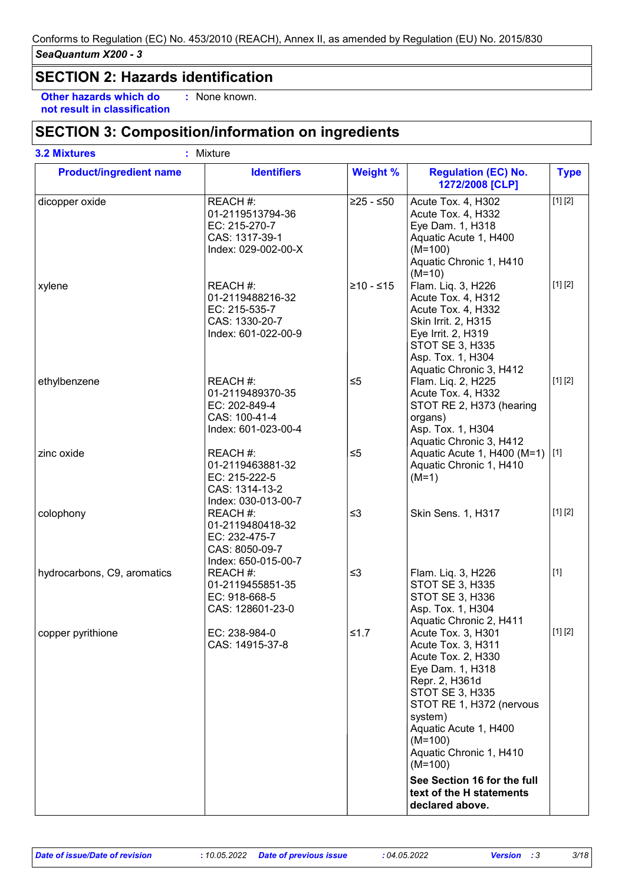## **SECTION 2: Hazards identification**

**Other hazards which do : not result in classification** : None known.

## **SECTION 3: Composition/information on ingredients**

| <b>Product/ingredient name</b> | <b>Identifiers</b>                                                                     | <b>Weight %</b> | <b>Regulation (EC) No.</b><br>1272/2008 [CLP]                                                                                                                                                                                                       | <b>Type</b> |
|--------------------------------|----------------------------------------------------------------------------------------|-----------------|-----------------------------------------------------------------------------------------------------------------------------------------------------------------------------------------------------------------------------------------------------|-------------|
| dicopper oxide                 | REACH #:<br>01-2119513794-36<br>EC: 215-270-7<br>CAS: 1317-39-1<br>Index: 029-002-00-X | $≥25 - ≤50$     | Acute Tox. 4, H302<br>Acute Tox. 4, H332<br>Eye Dam. 1, H318<br>Aquatic Acute 1, H400<br>$(M=100)$<br>Aquatic Chronic 1, H410<br>$(M=10)$                                                                                                           | [1] [2]     |
| xylene                         | REACH #:<br>01-2119488216-32<br>EC: 215-535-7<br>CAS: 1330-20-7<br>Index: 601-022-00-9 | $≥10 - ≤15$     | Flam. Liq. 3, H226<br>Acute Tox. 4, H312<br>Acute Tox. 4, H332<br><b>Skin Irrit. 2, H315</b><br>Eye Irrit. 2, H319<br><b>STOT SE 3, H335</b><br>Asp. Tox. 1, H304<br>Aquatic Chronic 3, H412                                                        | [1] [2]     |
| ethylbenzene                   | REACH #:<br>01-2119489370-35<br>EC: 202-849-4<br>CAS: 100-41-4<br>Index: 601-023-00-4  | $\leq 5$        | Flam. Liq. 2, H225<br>Acute Tox. 4, H332<br>STOT RE 2, H373 (hearing<br>organs)<br>Asp. Tox. 1, H304<br>Aquatic Chronic 3, H412                                                                                                                     | [1] [2]     |
| zinc oxide                     | REACH #:<br>01-2119463881-32<br>EC: 215-222-5<br>CAS: 1314-13-2<br>Index: 030-013-00-7 | $\leq 5$        | Aquatic Acute 1, H400 (M=1)<br>Aquatic Chronic 1, H410<br>$(M=1)$                                                                                                                                                                                   | [1]         |
| colophony                      | REACH #:<br>01-2119480418-32<br>EC: 232-475-7<br>CAS: 8050-09-7<br>Index: 650-015-00-7 | $\leq$ 3        | Skin Sens. 1, H317                                                                                                                                                                                                                                  | [1] [2]     |
| hydrocarbons, C9, aromatics    | REACH#:<br>01-2119455851-35<br>EC: 918-668-5<br>CAS: 128601-23-0                       | $\leq$ 3        | Flam. Liq. 3, H226<br><b>STOT SE 3, H335</b><br><b>STOT SE 3, H336</b><br>Asp. Tox. 1, H304<br>Aquatic Chronic 2, H411                                                                                                                              | $[1]$       |
| copper pyrithione              | EC: 238-984-0<br>CAS: 14915-37-8                                                       | $≤1.7$          | Acute Tox. 3, H301<br>Acute Tox. 3, H311<br>Acute Tox. 2, H330<br>Eye Dam. 1, H318<br>Repr. 2, H361d<br><b>STOT SE 3, H335</b><br>STOT RE 1, H372 (nervous<br>system)<br>Aquatic Acute 1, H400<br>$(M=100)$<br>Aquatic Chronic 1, H410<br>$(M=100)$ | [1] [2]     |
|                                |                                                                                        |                 | See Section 16 for the full<br>text of the H statements<br>declared above.                                                                                                                                                                          |             |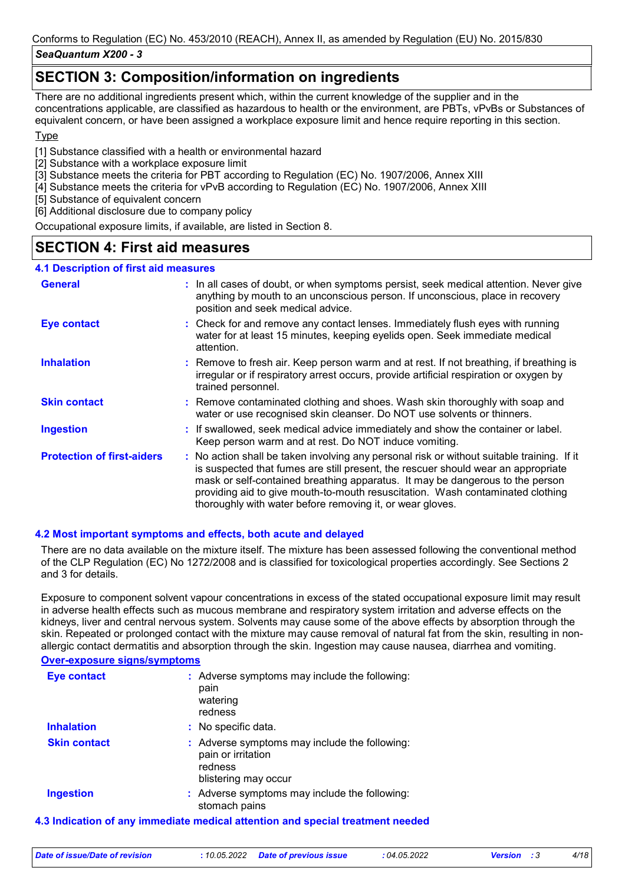## **SECTION 3: Composition/information on ingredients**

There are no additional ingredients present which, within the current knowledge of the supplier and in the concentrations applicable, are classified as hazardous to health or the environment, are PBTs, vPvBs or Substances of equivalent concern, or have been assigned a workplace exposure limit and hence require reporting in this section.

#### **T**<sub>vpe</sub>

[1] Substance classified with a health or environmental hazard

- [2] Substance with a workplace exposure limit
- [3] Substance meets the criteria for PBT according to Regulation (EC) No. 1907/2006, Annex XIII
- [4] Substance meets the criteria for vPvB according to Regulation (EC) No. 1907/2006, Annex XIII
- [5] Substance of equivalent concern
- [6] Additional disclosure due to company policy

Occupational exposure limits, if available, are listed in Section 8.

## **SECTION 4: First aid measures**

#### **4.1 Description of first aid measures**

| <b>General</b>                    | : In all cases of doubt, or when symptoms persist, seek medical attention. Never give<br>anything by mouth to an unconscious person. If unconscious, place in recovery<br>position and seek medical advice.                                                                                                                                                                                                     |
|-----------------------------------|-----------------------------------------------------------------------------------------------------------------------------------------------------------------------------------------------------------------------------------------------------------------------------------------------------------------------------------------------------------------------------------------------------------------|
| <b>Eye contact</b>                | : Check for and remove any contact lenses. Immediately flush eyes with running<br>water for at least 15 minutes, keeping eyelids open. Seek immediate medical<br>attention.                                                                                                                                                                                                                                     |
| <b>Inhalation</b>                 | : Remove to fresh air. Keep person warm and at rest. If not breathing, if breathing is<br>irregular or if respiratory arrest occurs, provide artificial respiration or oxygen by<br>trained personnel.                                                                                                                                                                                                          |
| <b>Skin contact</b>               | : Remove contaminated clothing and shoes. Wash skin thoroughly with soap and<br>water or use recognised skin cleanser. Do NOT use solvents or thinners.                                                                                                                                                                                                                                                         |
| <b>Ingestion</b>                  | : If swallowed, seek medical advice immediately and show the container or label.<br>Keep person warm and at rest. Do NOT induce vomiting.                                                                                                                                                                                                                                                                       |
| <b>Protection of first-aiders</b> | : No action shall be taken involving any personal risk or without suitable training. If it<br>is suspected that fumes are still present, the rescuer should wear an appropriate<br>mask or self-contained breathing apparatus. It may be dangerous to the person<br>providing aid to give mouth-to-mouth resuscitation. Wash contaminated clothing<br>thoroughly with water before removing it, or wear gloves. |

#### **4.2 Most important symptoms and effects, both acute and delayed**

There are no data available on the mixture itself. The mixture has been assessed following the conventional method of the CLP Regulation (EC) No 1272/2008 and is classified for toxicological properties accordingly. See Sections 2 and 3 for details.

Exposure to component solvent vapour concentrations in excess of the stated occupational exposure limit may result in adverse health effects such as mucous membrane and respiratory system irritation and adverse effects on the kidneys, liver and central nervous system. Solvents may cause some of the above effects by absorption through the skin. Repeated or prolonged contact with the mixture may cause removal of natural fat from the skin, resulting in nonallergic contact dermatitis and absorption through the skin. Ingestion may cause nausea, diarrhea and vomiting.

#### **Over-exposure signs/symptoms**

| Eye contact         | : Adverse symptoms may include the following:<br>pain<br>watering<br>redness                           |
|---------------------|--------------------------------------------------------------------------------------------------------|
| <b>Inhalation</b>   | : No specific data.                                                                                    |
| <b>Skin contact</b> | : Adverse symptoms may include the following:<br>pain or irritation<br>redness<br>blistering may occur |
| <b>Ingestion</b>    | : Adverse symptoms may include the following:<br>stomach pains                                         |
|                     |                                                                                                        |

#### **4.3 Indication of any immediate medical attention and special treatment needed**

| Date of issue/Date of revision | : 10.05.2022 Date of previous issue | : 04.05.2022 | <b>Version</b> : 3 |  |
|--------------------------------|-------------------------------------|--------------|--------------------|--|
|                                |                                     |              |                    |  |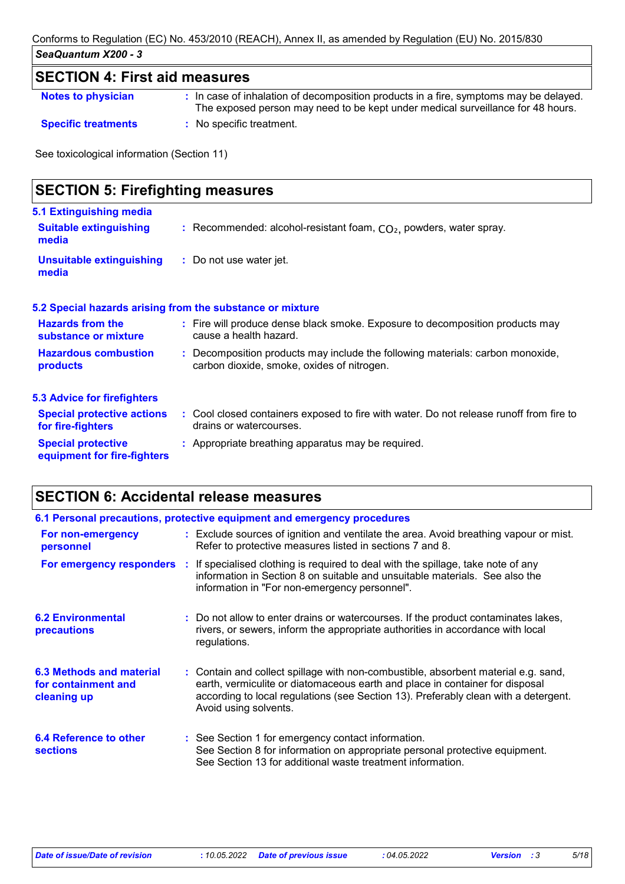## **SECTION 4: First aid measures**

| <b>Notes to physician</b>  | : In case of inhalation of decomposition products in a fire, symptoms may be delayed.<br>The exposed person may need to be kept under medical surveillance for 48 hours. |
|----------------------------|--------------------------------------------------------------------------------------------------------------------------------------------------------------------------|
| <b>Specific treatments</b> | : No specific treatment.                                                                                                                                                 |

See toxicological information (Section 11)

| <b>SECTION 5: Firefighting measures</b>                           |                                                                                                                              |
|-------------------------------------------------------------------|------------------------------------------------------------------------------------------------------------------------------|
| 5.1 Extinguishing media<br><b>Suitable extinguishing</b><br>media | : Recommended: alcohol-resistant foam, $CO2$ , powders, water spray.                                                         |
| <b>Unsuitable extinguishing</b><br>media                          | : Do not use water jet.                                                                                                      |
|                                                                   | 5.2 Special hazards arising from the substance or mixture                                                                    |
| <b>Hazards from the</b><br>substance or mixture                   | : Fire will produce dense black smoke. Exposure to decomposition products may<br>cause a health hazard.                      |
| <b>Hazardous combustion</b><br>products                           | : Decomposition products may include the following materials: carbon monoxide,<br>carbon dioxide, smoke, oxides of nitrogen. |
| <b>5.3 Advice for firefighters</b>                                |                                                                                                                              |
| <b>Special protective actions</b><br>for fire-fighters            | : Cool closed containers exposed to fire with water. Do not release runoff from fire to<br>drains or watercourses.           |
| <b>Special protective</b><br>equipment for fire-fighters          | : Appropriate breathing apparatus may be required.                                                                           |

## **SECTION 6: Accidental release measures**

|                                                                | 6.1 Personal precautions, protective equipment and emergency procedures                                                                                                                                                                                                            |
|----------------------------------------------------------------|------------------------------------------------------------------------------------------------------------------------------------------------------------------------------------------------------------------------------------------------------------------------------------|
| For non-emergency<br>personnel                                 | : Exclude sources of ignition and ventilate the area. Avoid breathing vapour or mist.<br>Refer to protective measures listed in sections 7 and 8.                                                                                                                                  |
| For emergency responders :                                     | If specialised clothing is required to deal with the spillage, take note of any<br>information in Section 8 on suitable and unsuitable materials. See also the<br>information in "For non-emergency personnel".                                                                    |
| <b>6.2 Environmental</b><br><b>precautions</b>                 | : Do not allow to enter drains or watercourses. If the product contaminates lakes,<br>rivers, or sewers, inform the appropriate authorities in accordance with local<br>regulations.                                                                                               |
| 6.3 Methods and material<br>for containment and<br>cleaning up | : Contain and collect spillage with non-combustible, absorbent material e.g. sand,<br>earth, vermiculite or diatomaceous earth and place in container for disposal<br>according to local regulations (see Section 13). Preferably clean with a detergent.<br>Avoid using solvents. |
| 6.4 Reference to other<br><b>sections</b>                      | : See Section 1 for emergency contact information.<br>See Section 8 for information on appropriate personal protective equipment.<br>See Section 13 for additional waste treatment information.                                                                                    |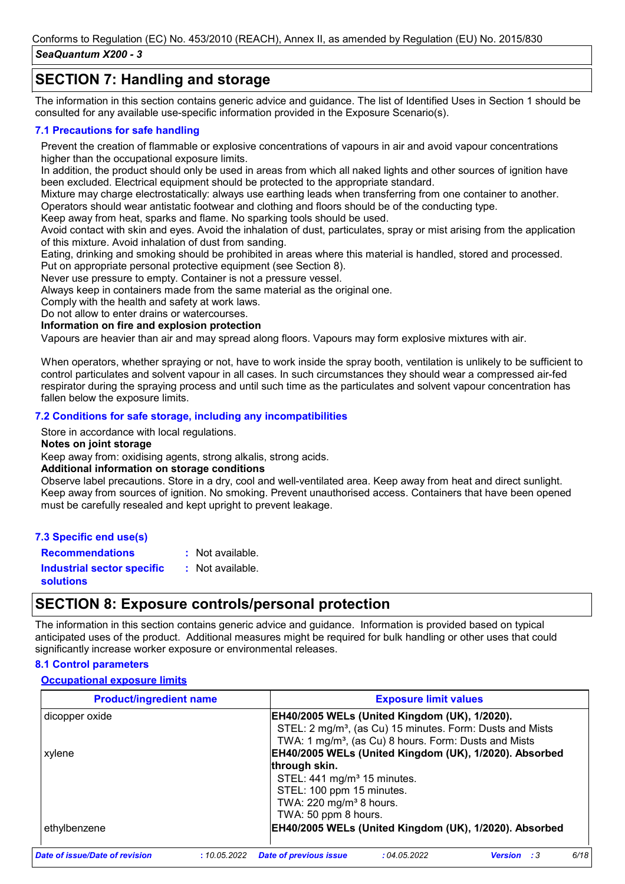## **SECTION 7: Handling and storage**

The information in this section contains generic advice and guidance. The list of Identified Uses in Section 1 should be consulted for any available use-specific information provided in the Exposure Scenario(s).

#### **7.1 Precautions for safe handling**

Prevent the creation of flammable or explosive concentrations of vapours in air and avoid vapour concentrations higher than the occupational exposure limits.

In addition, the product should only be used in areas from which all naked lights and other sources of ignition have been excluded. Electrical equipment should be protected to the appropriate standard.

Mixture may charge electrostatically: always use earthing leads when transferring from one container to another. Operators should wear antistatic footwear and clothing and floors should be of the conducting type.

Keep away from heat, sparks and flame. No sparking tools should be used.

Avoid contact with skin and eyes. Avoid the inhalation of dust, particulates, spray or mist arising from the application of this mixture. Avoid inhalation of dust from sanding.

Eating, drinking and smoking should be prohibited in areas where this material is handled, stored and processed.

Put on appropriate personal protective equipment (see Section 8).

Never use pressure to empty. Container is not a pressure vessel.

Always keep in containers made from the same material as the original one.

Comply with the health and safety at work laws.

Do not allow to enter drains or watercourses.

#### **Information on fire and explosion protection**

Vapours are heavier than air and may spread along floors. Vapours may form explosive mixtures with air.

When operators, whether spraying or not, have to work inside the spray booth, ventilation is unlikely to be sufficient to control particulates and solvent vapour in all cases. In such circumstances they should wear a compressed air-fed respirator during the spraying process and until such time as the particulates and solvent vapour concentration has fallen below the exposure limits.

#### **7.2 Conditions for safe storage, including any incompatibilities**

Store in accordance with local regulations.

#### **Notes on joint storage**

Keep away from: oxidising agents, strong alkalis, strong acids.

#### **Additional information on storage conditions**

Observe label precautions. Store in a dry, cool and well-ventilated area. Keep away from heat and direct sunlight. Keep away from sources of ignition. No smoking. Prevent unauthorised access. Containers that have been opened must be carefully resealed and kept upright to prevent leakage.

#### **7.3 Specific end use(s)**

**Recommendations :** : Not available.

**Industrial sector specific : solutions** : Not available.

## **SECTION 8: Exposure controls/personal protection**

The information in this section contains generic advice and guidance. Information is provided based on typical anticipated uses of the product. Additional measures might be required for bulk handling or other uses that could significantly increase worker exposure or environmental releases.

#### **8.1 Control parameters**

#### **Occupational exposure limits**

| <b>Product/ingredient name</b> | <b>Exposure limit values</b>                                                            |
|--------------------------------|-----------------------------------------------------------------------------------------|
| dicopper oxide                 | EH40/2005 WELs (United Kingdom (UK), 1/2020).                                           |
|                                | STEL: 2 mg/m <sup>3</sup> , (as Cu) 15 minutes. Form: Dusts and Mists                   |
|                                | TWA: 1 mg/m <sup>3</sup> , (as Cu) 8 hours. Form: Dusts and Mists                       |
| xylene                         | EH40/2005 WELs (United Kingdom (UK), 1/2020). Absorbed                                  |
|                                | through skin.                                                                           |
|                                | STEL: 441 mg/m <sup>3</sup> 15 minutes.                                                 |
|                                | STEL: 100 ppm 15 minutes.                                                               |
|                                | TWA: 220 mg/m <sup>3</sup> 8 hours.                                                     |
|                                | TWA: 50 ppm 8 hours.                                                                    |
| ethylbenzene                   | EH40/2005 WELs (United Kingdom (UK), 1/2020). Absorbed                                  |
| Date of issue/Date of revision | 6/18<br><b>Date of previous issue</b><br>:04.05.2022<br>:10.05.2022<br>Version<br>- : 3 |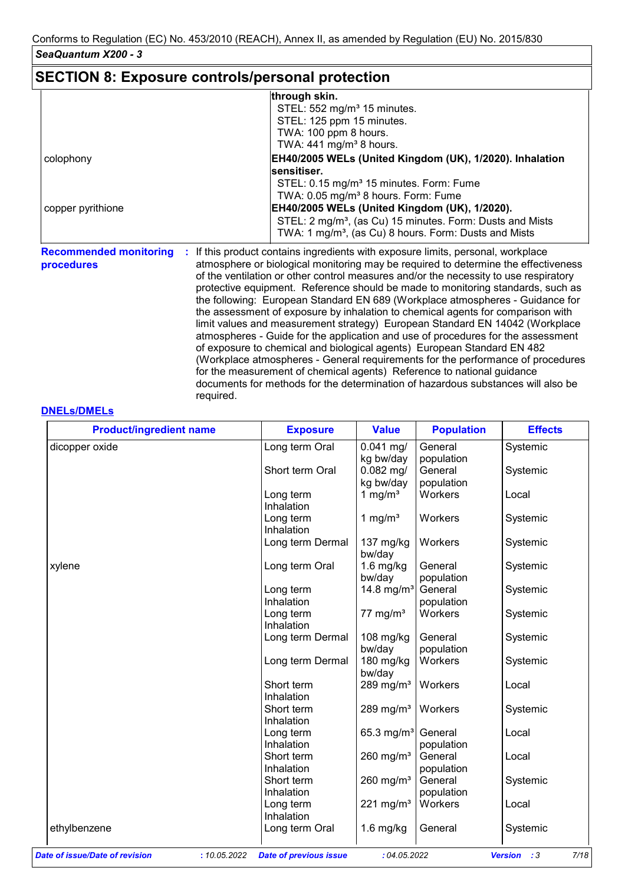## **SECTION 8: Exposure controls/personal protection**

required.

|                                             | through skin.                                                                                                                                                                                                                                                                                                                                                                                                                                                                                                                                                                                                                                                                                                                                                                                                                                                                                                                   |
|---------------------------------------------|---------------------------------------------------------------------------------------------------------------------------------------------------------------------------------------------------------------------------------------------------------------------------------------------------------------------------------------------------------------------------------------------------------------------------------------------------------------------------------------------------------------------------------------------------------------------------------------------------------------------------------------------------------------------------------------------------------------------------------------------------------------------------------------------------------------------------------------------------------------------------------------------------------------------------------|
|                                             | STEL: 552 mg/m <sup>3</sup> 15 minutes.                                                                                                                                                                                                                                                                                                                                                                                                                                                                                                                                                                                                                                                                                                                                                                                                                                                                                         |
|                                             | STEL: 125 ppm 15 minutes.                                                                                                                                                                                                                                                                                                                                                                                                                                                                                                                                                                                                                                                                                                                                                                                                                                                                                                       |
|                                             | TWA: 100 ppm 8 hours.                                                                                                                                                                                                                                                                                                                                                                                                                                                                                                                                                                                                                                                                                                                                                                                                                                                                                                           |
|                                             | TWA: $441$ mg/m <sup>3</sup> 8 hours.                                                                                                                                                                                                                                                                                                                                                                                                                                                                                                                                                                                                                                                                                                                                                                                                                                                                                           |
| colophony                                   | EH40/2005 WELs (United Kingdom (UK), 1/2020). Inhalation                                                                                                                                                                                                                                                                                                                                                                                                                                                                                                                                                                                                                                                                                                                                                                                                                                                                        |
|                                             | sensitiser.                                                                                                                                                                                                                                                                                                                                                                                                                                                                                                                                                                                                                                                                                                                                                                                                                                                                                                                     |
|                                             | STEL: 0.15 mg/m <sup>3</sup> 15 minutes. Form: Fume                                                                                                                                                                                                                                                                                                                                                                                                                                                                                                                                                                                                                                                                                                                                                                                                                                                                             |
|                                             | TWA: 0.05 mg/m <sup>3</sup> 8 hours. Form: Fume                                                                                                                                                                                                                                                                                                                                                                                                                                                                                                                                                                                                                                                                                                                                                                                                                                                                                 |
| copper pyrithione                           | EH40/2005 WELs (United Kingdom (UK), 1/2020).                                                                                                                                                                                                                                                                                                                                                                                                                                                                                                                                                                                                                                                                                                                                                                                                                                                                                   |
|                                             | STEL: 2 mg/m <sup>3</sup> , (as Cu) 15 minutes. Form: Dusts and Mists                                                                                                                                                                                                                                                                                                                                                                                                                                                                                                                                                                                                                                                                                                                                                                                                                                                           |
|                                             | TWA: 1 mg/m <sup>3</sup> , (as Cu) 8 hours. Form: Dusts and Mists                                                                                                                                                                                                                                                                                                                                                                                                                                                                                                                                                                                                                                                                                                                                                                                                                                                               |
| <b>Recommended monitoring</b><br>procedures | If this product contains ingredients with exposure limits, personal, workplace<br>atmosphere or biological monitoring may be required to determine the effectiveness<br>of the ventilation or other control measures and/or the necessity to use respiratory<br>protective equipment. Reference should be made to monitoring standards, such as<br>the following: European Standard EN 689 (Workplace atmospheres - Guidance for<br>the assessment of exposure by inhalation to chemical agents for comparison with<br>limit values and measurement strategy) European Standard EN 14042 (Workplace<br>atmospheres - Guide for the application and use of procedures for the assessment<br>of exposure to chemical and biological agents) European Standard EN 482<br>(Workplace atmospheres - General requirements for the performance of procedures<br>for the measurement of chemical agents) Reference to national guidance |

documents for methods for the determination of hazardous substances will also be

#### **DNELs/DMELs**

| <b>Product/ingredient name</b> | <b>Exposure</b>  | <b>Value</b>           | <b>Population</b> | <b>Effects</b> |
|--------------------------------|------------------|------------------------|-------------------|----------------|
| dicopper oxide                 | Long term Oral   | $0.041$ mg/            | General           | Systemic       |
|                                |                  | kg bw/day              | population        |                |
|                                | Short term Oral  | $0.082$ mg/            | General           | Systemic       |
|                                |                  | kg bw/day              | population        |                |
|                                | Long term        | 1 mg/ $m3$             | Workers           | Local          |
|                                | Inhalation       |                        |                   |                |
|                                | Long term        | 1 mg/ $m3$             | Workers           | Systemic       |
|                                | Inhalation       |                        |                   |                |
|                                | Long term Dermal | $137 \text{ mg/kg}$    | Workers           | Systemic       |
|                                |                  | bw/day                 |                   |                |
| xylene                         | Long term Oral   | $1.6$ mg/kg            | General           | Systemic       |
|                                |                  | bw/day                 | population        |                |
|                                | Long term        | 14.8 mg/m <sup>3</sup> | General           | Systemic       |
|                                | Inhalation       |                        | population        |                |
|                                | Long term        | 77 mg/m $3$            | Workers           | Systemic       |
|                                | Inhalation       |                        |                   |                |
|                                | Long term Dermal | 108 mg/kg              | General           | Systemic       |
|                                |                  | bw/day                 | population        |                |
|                                | Long term Dermal | 180 mg/kg              | Workers           | Systemic       |
|                                |                  | bw/day                 |                   |                |
|                                | Short term       | 289 mg/m $3$           | Workers           | Local          |
|                                | Inhalation       |                        |                   |                |
|                                | Short term       | 289 mg/m $3$           | Workers           | Systemic       |
|                                | Inhalation       |                        |                   |                |
|                                | Long term        | 65.3 mg/m <sup>3</sup> | General           | Local          |
|                                | Inhalation       |                        | population        |                |
|                                | Short term       | 260 mg/ $m3$           | General           | Local          |
|                                | Inhalation       |                        | population        |                |
|                                | Short term       | 260 mg/ $m3$           | General           | Systemic       |
|                                | Inhalation       |                        | population        |                |
|                                | Long term        | 221 mg/m $3$           | Workers           | Local          |
|                                | Inhalation       |                        |                   |                |
|                                |                  |                        |                   |                |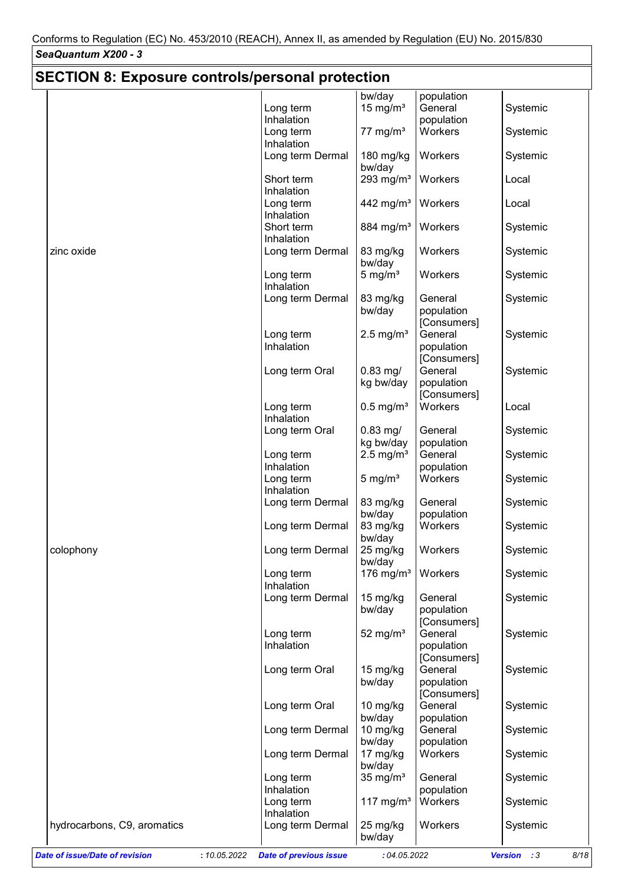|                                                       | <b>SECTION 8: Exposure controls/personal protection</b> |                         |                                      |                     |  |  |
|-------------------------------------------------------|---------------------------------------------------------|-------------------------|--------------------------------------|---------------------|--|--|
|                                                       |                                                         | bw/day                  | population                           |                     |  |  |
|                                                       | Long term                                               | 15 mg/ $m3$             | General                              | Systemic            |  |  |
|                                                       | Inhalation                                              |                         | population                           |                     |  |  |
|                                                       | Long term<br>Inhalation                                 | 77 mg/m $3$             | Workers                              | Systemic            |  |  |
|                                                       | Long term Dermal                                        | 180 mg/kg<br>bw/day     | Workers                              | Systemic            |  |  |
|                                                       | Short term<br>Inhalation                                | 293 mg/ $m3$            | Workers                              | Local               |  |  |
|                                                       | Long term<br>Inhalation                                 | 442 mg/m <sup>3</sup>   | Workers                              | Local               |  |  |
|                                                       | Short term<br>Inhalation                                | $884$ mg/m <sup>3</sup> | Workers                              | Systemic            |  |  |
| zinc oxide                                            | Long term Dermal                                        | 83 mg/kg<br>bw/day      | Workers                              | Systemic            |  |  |
|                                                       | Long term<br>Inhalation                                 | $5 \text{ mg/m}^3$      | Workers                              | Systemic            |  |  |
|                                                       | Long term Dermal                                        | 83 mg/kg<br>bw/day      | General<br>population<br>[Consumers] | Systemic            |  |  |
|                                                       | Long term                                               | $2.5 \text{ mg/m}^3$    | General                              | Systemic            |  |  |
|                                                       | Inhalation                                              |                         | population                           |                     |  |  |
|                                                       |                                                         |                         | [Consumers]                          |                     |  |  |
|                                                       | Long term Oral                                          | $0.83$ mg/              | General                              | Systemic            |  |  |
|                                                       |                                                         | kg bw/day               | population                           |                     |  |  |
|                                                       |                                                         |                         | [Consumers]                          |                     |  |  |
|                                                       | Long term<br>Inhalation                                 | $0.5$ mg/m <sup>3</sup> | Workers                              | Local               |  |  |
|                                                       | Long term Oral                                          | $0.83$ mg/              | General                              | Systemic            |  |  |
|                                                       |                                                         | kg bw/day               | population                           |                     |  |  |
|                                                       | Long term                                               | $2.5$ mg/m <sup>3</sup> | General                              | Systemic            |  |  |
|                                                       | Inhalation                                              |                         | population                           |                     |  |  |
|                                                       | Long term                                               | 5 mg/ $m3$              | Workers                              | Systemic            |  |  |
|                                                       | Inhalation                                              |                         |                                      |                     |  |  |
|                                                       | Long term Dermal                                        | 83 mg/kg                | General                              | Systemic            |  |  |
|                                                       |                                                         | bw/day                  | population                           |                     |  |  |
|                                                       | Long term Dermal                                        | 83 mg/kg<br>bw/day      | Workers                              | Systemic            |  |  |
| colophony                                             | Long term Dermal                                        | 25 mg/kg<br>bw/day      | Workers                              | Systemic            |  |  |
|                                                       | Long term<br>Inhalation                                 | 176 mg/m <sup>3</sup>   | Workers                              | Systemic            |  |  |
|                                                       | Long term Dermal                                        | 15 mg/kg<br>bw/day      | General<br>population                | Systemic            |  |  |
|                                                       |                                                         |                         | [Consumers]                          |                     |  |  |
|                                                       | Long term                                               | 52 mg/ $m3$             | General                              | Systemic            |  |  |
|                                                       | Inhalation                                              |                         | population                           |                     |  |  |
|                                                       |                                                         |                         | [Consumers]                          |                     |  |  |
|                                                       | Long term Oral                                          | 15 mg/kg                | General                              | Systemic            |  |  |
|                                                       |                                                         | bw/day                  | population                           |                     |  |  |
|                                                       |                                                         |                         | [Consumers]                          |                     |  |  |
|                                                       | Long term Oral                                          | 10 mg/kg                | General                              | Systemic            |  |  |
|                                                       |                                                         | bw/day<br>$10$ mg/kg    | population<br>General                |                     |  |  |
|                                                       | Long term Dermal                                        | bw/day                  | population                           | Systemic            |  |  |
|                                                       | Long term Dermal                                        | 17 mg/kg<br>bw/day      | Workers                              | Systemic            |  |  |
|                                                       | Long term                                               | $35$ mg/m <sup>3</sup>  | General                              | Systemic            |  |  |
|                                                       | Inhalation                                              |                         | population                           |                     |  |  |
|                                                       | Long term                                               | 117 mg/m <sup>3</sup>   | Workers                              | Systemic            |  |  |
|                                                       | Inhalation                                              |                         |                                      |                     |  |  |
| hydrocarbons, C9, aromatics                           | Long term Dermal                                        | 25 mg/kg<br>bw/day      | Workers                              | Systemic            |  |  |
| <b>Date of issue/Date of revision</b><br>: 10.05.2022 | <b>Date of previous issue</b>                           | : 04.05.2022            |                                      | Version : 3<br>8/18 |  |  |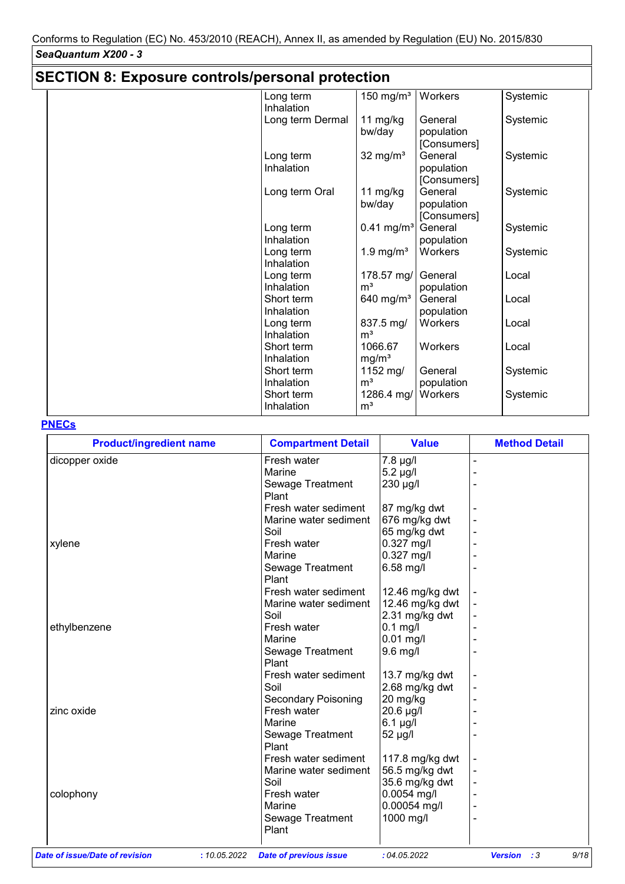| <b>SECTION 8: Exposure controls/personal protection</b> |                          |                              |                                      |          |  |  |
|---------------------------------------------------------|--------------------------|------------------------------|--------------------------------------|----------|--|--|
|                                                         | Long term<br>Inhalation  | $150$ mg/m <sup>3</sup>      | Workers                              | Systemic |  |  |
|                                                         | Long term Dermal         | 11 mg/kg<br>bw/day           | General<br>population<br>[Consumers] | Systemic |  |  |
|                                                         | Long term<br>Inhalation  | 32 mg/ $m3$                  | General<br>population<br>[Consumers] | Systemic |  |  |
|                                                         | Long term Oral           | 11 mg/kg<br>bw/day           | General<br>population<br>[Consumers] | Systemic |  |  |
|                                                         | Long term<br>Inhalation  | $0.41$ mg/m <sup>3</sup>     | General<br>population                | Systemic |  |  |
|                                                         | Long term<br>Inhalation  | 1.9 mg/ $m3$                 | Workers                              | Systemic |  |  |
|                                                         | Long term<br>Inhalation  | 178.57 mg/<br>m <sup>3</sup> | General<br>population                | Local    |  |  |
|                                                         | Short term<br>Inhalation | 640 mg/ $m3$                 | General<br>population                | Local    |  |  |
|                                                         | Long term<br>Inhalation  | 837.5 mg/<br>m <sup>3</sup>  | Workers                              | Local    |  |  |
|                                                         | Short term<br>Inhalation | 1066.67<br>mg/m <sup>3</sup> | Workers                              | Local    |  |  |
|                                                         | Short term<br>Inhalation | 1152 mg/<br>m <sup>3</sup>   | General<br>population                | Systemic |  |  |
|                                                         | Short term<br>Inhalation | 1286.4 mg/<br>m <sup>3</sup> | Workers                              | Systemic |  |  |

### **PNECs**

| <b>Product/ingredient name</b> | <b>Compartment Detail</b>                     | <b>Value</b>    | <b>Method Detail</b>                 |
|--------------------------------|-----------------------------------------------|-----------------|--------------------------------------|
| dicopper oxide                 | Fresh water                                   | 7.8 µg/l        |                                      |
|                                | Marine                                        | $5.2 \mu g/l$   |                                      |
|                                | Sewage Treatment                              | 230 µg/l        |                                      |
|                                | Plant                                         |                 |                                      |
|                                | Fresh water sediment                          | 87 mg/kg dwt    |                                      |
|                                | Marine water sediment                         | 676 mg/kg dwt   |                                      |
|                                | Soil                                          | 65 mg/kg dwt    |                                      |
| xylene                         | Fresh water                                   | 0.327 mg/l      |                                      |
|                                | Marine                                        | 0.327 mg/l      |                                      |
|                                | Sewage Treatment                              | 6.58 mg/l       |                                      |
|                                | Plant                                         |                 |                                      |
|                                | Fresh water sediment                          | 12.46 mg/kg dwt |                                      |
|                                | Marine water sediment                         | 12.46 mg/kg dwt |                                      |
|                                | Soil                                          | 2.31 mg/kg dwt  |                                      |
| ethylbenzene                   | Fresh water                                   | $0.1$ mg/l      |                                      |
|                                | Marine                                        | 0.01 mg/l       |                                      |
|                                | Sewage Treatment                              | 9.6 mg/l        |                                      |
|                                | Plant                                         |                 |                                      |
|                                | Fresh water sediment                          | 13.7 mg/kg dwt  |                                      |
|                                | Soil                                          | 2.68 mg/kg dwt  |                                      |
|                                | <b>Secondary Poisoning</b>                    | 20 mg/kg        |                                      |
| zinc oxide                     | Fresh water                                   | 20.6 µg/l       |                                      |
|                                | Marine                                        | 6.1 µg/l        |                                      |
|                                | Sewage Treatment                              | 52 µg/l         |                                      |
|                                | Plant                                         |                 |                                      |
|                                | Fresh water sediment                          | 117.8 mg/kg dwt |                                      |
|                                | Marine water sediment                         | 56.5 mg/kg dwt  |                                      |
|                                | Soil                                          | 35.6 mg/kg dwt  |                                      |
| colophony                      | Fresh water                                   | $0.0054$ mg/l   |                                      |
|                                | Marine                                        | 0.00054 mg/l    |                                      |
|                                | Sewage Treatment                              | 1000 mg/l       |                                      |
|                                | Plant                                         |                 |                                      |
|                                |                                               |                 |                                      |
| Date of issue/Date of revision | : 10.05.2022<br><b>Date of previous issue</b> | :04.05.2022     | 9/18<br><b>Version</b><br>$\cdot$ :3 |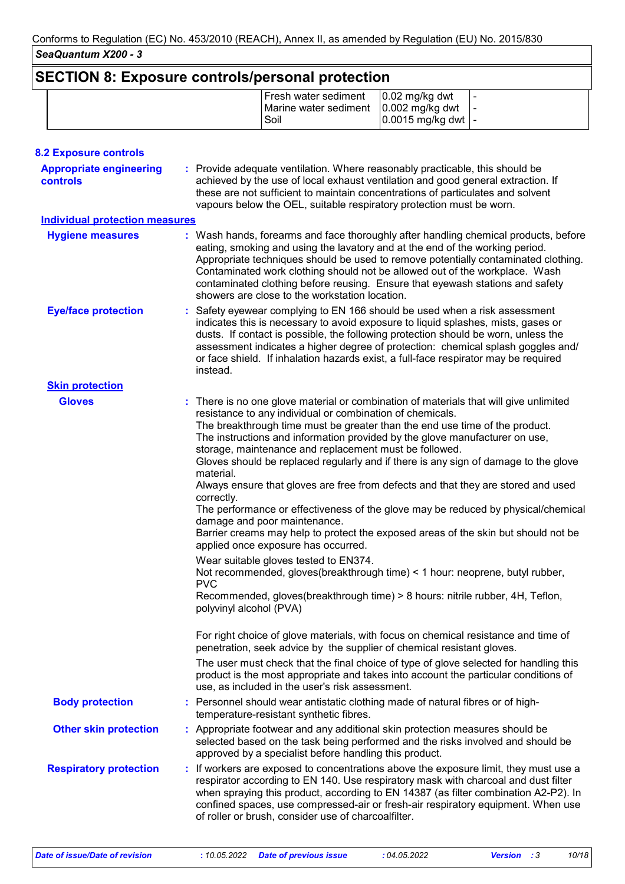# **SECTION 8: Exposure controls/personal protection**

|  | Fresh water sediment   0.02 mg/kg dwt               |                                  |  |
|--|-----------------------------------------------------|----------------------------------|--|
|  | Marine water sediment   0.002 mg/kg dwt   -<br>Soil | $ 0.0015 \text{ mg/kg}$ dwt $ -$ |  |
|  |                                                     |                                  |  |

| <b>8.2 Exposure controls</b>                      |                                                                                                                                                                                                                                                                                                                                                                                                                                                                                                                                                                                                                                                                                                                                                                                                                                                                                                                                                                                                                                                                                                                                                                                                                                                                                                                                                                                                                                                                                         |
|---------------------------------------------------|-----------------------------------------------------------------------------------------------------------------------------------------------------------------------------------------------------------------------------------------------------------------------------------------------------------------------------------------------------------------------------------------------------------------------------------------------------------------------------------------------------------------------------------------------------------------------------------------------------------------------------------------------------------------------------------------------------------------------------------------------------------------------------------------------------------------------------------------------------------------------------------------------------------------------------------------------------------------------------------------------------------------------------------------------------------------------------------------------------------------------------------------------------------------------------------------------------------------------------------------------------------------------------------------------------------------------------------------------------------------------------------------------------------------------------------------------------------------------------------------|
| <b>Appropriate engineering</b><br><b>controls</b> | : Provide adequate ventilation. Where reasonably practicable, this should be<br>achieved by the use of local exhaust ventilation and good general extraction. If<br>these are not sufficient to maintain concentrations of particulates and solvent<br>vapours below the OEL, suitable respiratory protection must be worn.                                                                                                                                                                                                                                                                                                                                                                                                                                                                                                                                                                                                                                                                                                                                                                                                                                                                                                                                                                                                                                                                                                                                                             |
| <b>Individual protection measures</b>             |                                                                                                                                                                                                                                                                                                                                                                                                                                                                                                                                                                                                                                                                                                                                                                                                                                                                                                                                                                                                                                                                                                                                                                                                                                                                                                                                                                                                                                                                                         |
| <b>Hygiene measures</b>                           | : Wash hands, forearms and face thoroughly after handling chemical products, before<br>eating, smoking and using the lavatory and at the end of the working period.<br>Appropriate techniques should be used to remove potentially contaminated clothing.<br>Contaminated work clothing should not be allowed out of the workplace. Wash<br>contaminated clothing before reusing. Ensure that eyewash stations and safety<br>showers are close to the workstation location.                                                                                                                                                                                                                                                                                                                                                                                                                                                                                                                                                                                                                                                                                                                                                                                                                                                                                                                                                                                                             |
| <b>Eye/face protection</b>                        | : Safety eyewear complying to EN 166 should be used when a risk assessment<br>indicates this is necessary to avoid exposure to liquid splashes, mists, gases or<br>dusts. If contact is possible, the following protection should be worn, unless the<br>assessment indicates a higher degree of protection: chemical splash goggles and/<br>or face shield. If inhalation hazards exist, a full-face respirator may be required<br>instead.                                                                                                                                                                                                                                                                                                                                                                                                                                                                                                                                                                                                                                                                                                                                                                                                                                                                                                                                                                                                                                            |
| <b>Skin protection</b>                            |                                                                                                                                                                                                                                                                                                                                                                                                                                                                                                                                                                                                                                                                                                                                                                                                                                                                                                                                                                                                                                                                                                                                                                                                                                                                                                                                                                                                                                                                                         |
| <b>Gloves</b>                                     | There is no one glove material or combination of materials that will give unlimited<br>resistance to any individual or combination of chemicals.<br>The breakthrough time must be greater than the end use time of the product.<br>The instructions and information provided by the glove manufacturer on use,<br>storage, maintenance and replacement must be followed.<br>Gloves should be replaced regularly and if there is any sign of damage to the glove<br>material.<br>Always ensure that gloves are free from defects and that they are stored and used<br>correctly.<br>The performance or effectiveness of the glove may be reduced by physical/chemical<br>damage and poor maintenance.<br>Barrier creams may help to protect the exposed areas of the skin but should not be<br>applied once exposure has occurred.<br>Wear suitable gloves tested to EN374.<br>Not recommended, gloves(breakthrough time) < 1 hour: neoprene, butyl rubber,<br><b>PVC</b><br>Recommended, gloves(breakthrough time) > 8 hours: nitrile rubber, 4H, Teflon,<br>polyvinyl alcohol (PVA)<br>For right choice of glove materials, with focus on chemical resistance and time of<br>penetration, seek advice by the supplier of chemical resistant gloves.<br>The user must check that the final choice of type of glove selected for handling this<br>product is the most appropriate and takes into account the particular conditions of<br>use, as included in the user's risk assessment. |
| <b>Body protection</b>                            | : Personnel should wear antistatic clothing made of natural fibres or of high-<br>temperature-resistant synthetic fibres.                                                                                                                                                                                                                                                                                                                                                                                                                                                                                                                                                                                                                                                                                                                                                                                                                                                                                                                                                                                                                                                                                                                                                                                                                                                                                                                                                               |
| <b>Other skin protection</b>                      | : Appropriate footwear and any additional skin protection measures should be<br>selected based on the task being performed and the risks involved and should be<br>approved by a specialist before handling this product.                                                                                                                                                                                                                                                                                                                                                                                                                                                                                                                                                                                                                                                                                                                                                                                                                                                                                                                                                                                                                                                                                                                                                                                                                                                               |
| <b>Respiratory protection</b>                     | : If workers are exposed to concentrations above the exposure limit, they must use a<br>respirator according to EN 140. Use respiratory mask with charcoal and dust filter<br>when spraying this product, according to EN 14387 (as filter combination A2-P2). In<br>confined spaces, use compressed-air or fresh-air respiratory equipment. When use<br>of roller or brush, consider use of charcoalfilter.                                                                                                                                                                                                                                                                                                                                                                                                                                                                                                                                                                                                                                                                                                                                                                                                                                                                                                                                                                                                                                                                            |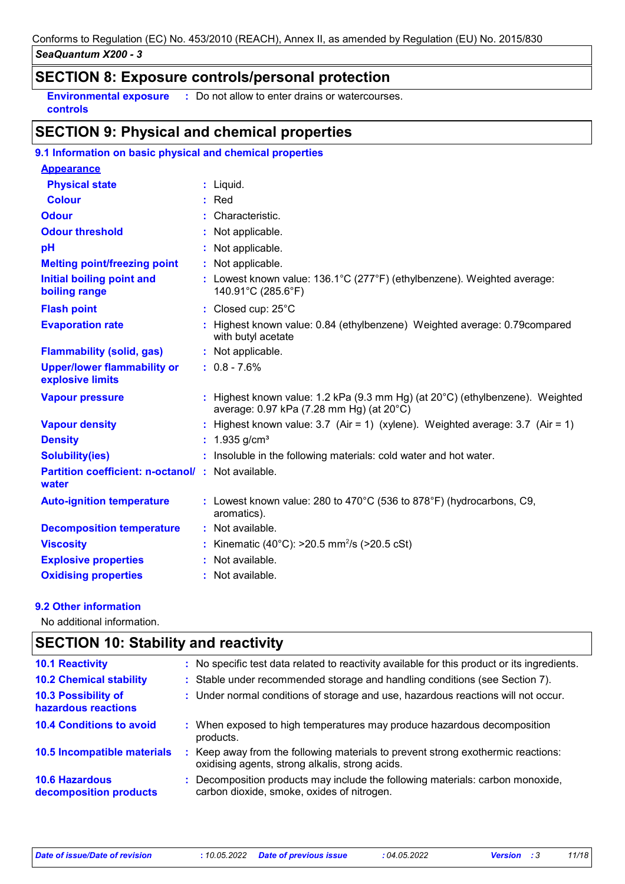## **SECTION 8: Exposure controls/personal protection**

**Environmental exposure :** Do not allow to enter drains or watercourses. **controls**

## **SECTION 9: Physical and chemical properties**

| 9.1 Information on basic physical and chemical properties  |                                                                                                                                     |
|------------------------------------------------------------|-------------------------------------------------------------------------------------------------------------------------------------|
| <b>Appearance</b>                                          |                                                                                                                                     |
| <b>Physical state</b>                                      | $:$ Liquid.                                                                                                                         |
| <b>Colour</b>                                              | $:$ Red                                                                                                                             |
| <b>Odour</b>                                               | : Characteristic.                                                                                                                   |
| <b>Odour threshold</b>                                     | : Not applicable.                                                                                                                   |
| pH                                                         | : Not applicable.                                                                                                                   |
| <b>Melting point/freezing point</b>                        | : Not applicable.                                                                                                                   |
| <b>Initial boiling point and</b><br>boiling range          | : Lowest known value: 136.1°C (277°F) (ethylbenzene). Weighted average:<br>140.91°C (285.6°F)                                       |
| <b>Flash point</b>                                         | : Closed cup: 25°C                                                                                                                  |
| <b>Evaporation rate</b>                                    | : Highest known value: 0.84 (ethylbenzene) Weighted average: 0.79 compared<br>with butyl acetate                                    |
| <b>Flammability (solid, gas)</b>                           | : Not applicable.                                                                                                                   |
| <b>Upper/lower flammability or</b><br>explosive limits     | $: 0.8 - 7.6%$                                                                                                                      |
| <b>Vapour pressure</b>                                     | : Highest known value: 1.2 kPa (9.3 mm Hg) (at $20^{\circ}$ C) (ethylbenzene). Weighted<br>average: 0.97 kPa (7.28 mm Hg) (at 20°C) |
| <b>Vapour density</b>                                      | : Highest known value: $3.7$ (Air = 1) (xylene). Weighted average: $3.7$ (Air = 1)                                                  |
| <b>Density</b>                                             | : $1.935$ g/cm <sup>3</sup>                                                                                                         |
| <b>Solubility(ies)</b>                                     | : Insoluble in the following materials: cold water and hot water.                                                                   |
| Partition coefficient: n-octanol/: Not available.<br>water |                                                                                                                                     |
| <b>Auto-ignition temperature</b>                           | : Lowest known value: 280 to 470 $^{\circ}$ C (536 to 878 $^{\circ}$ F) (hydrocarbons, C9,<br>aromatics).                           |
| <b>Decomposition temperature</b>                           | : Not available.                                                                                                                    |
| <b>Viscosity</b>                                           | : Kinematic (40°C): >20.5 mm <sup>2</sup> /s (>20.5 cSt)                                                                            |
| <b>Explosive properties</b>                                | : Not available.                                                                                                                    |
| <b>Oxidising properties</b>                                | : Not available.                                                                                                                    |

#### **9.2 Other information**

No additional information.

#### **SECTION 10: Stability and reactivity** : Keep away from the following materials to prevent strong exothermic reactions: oxidising agents, strong alkalis, strong acids. **10.6 Hazardous decomposition products 10.4 Conditions to avoid**  $\qquad$ **:** When exposed to high temperatures may produce hazardous decomposition products. **10.2 Chemical stability :** Stable under recommended storage and handling conditions (see Section 7). **:** Decomposition products may include the following materials: carbon monoxide, **10.5 Incompatible materials : 10.3 Possibility of hazardous reactions :** Under normal conditions of storage and use, hazardous reactions will not occur. **10.1 Reactivity :** No specific test data related to reactivity available for this product or its ingredients. carbon dioxide, smoke, oxides of nitrogen.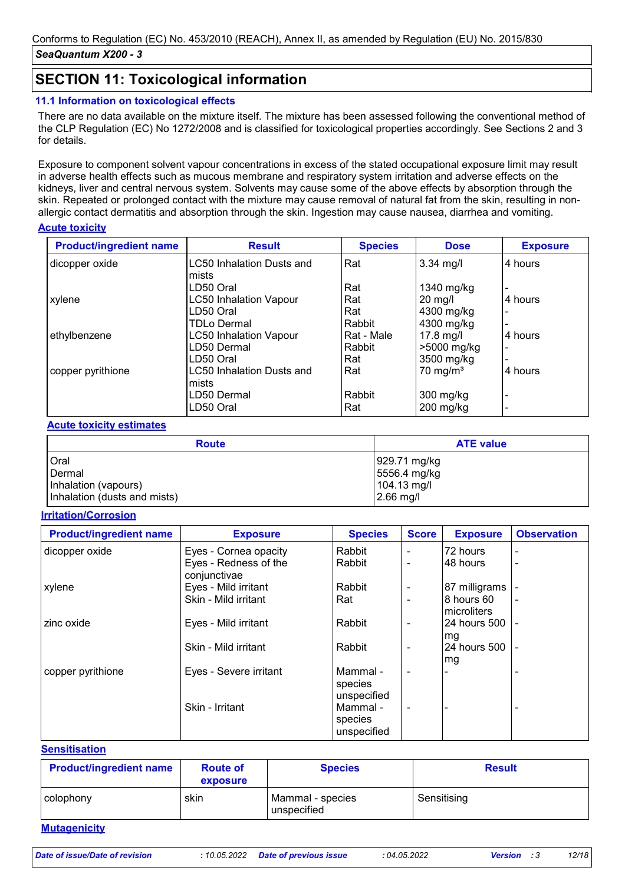## **SECTION 11: Toxicological information**

#### **11.1 Information on toxicological effects**

There are no data available on the mixture itself. The mixture has been assessed following the conventional method of the CLP Regulation (EC) No 1272/2008 and is classified for toxicological properties accordingly. See Sections 2 and 3 for details.

Exposure to component solvent vapour concentrations in excess of the stated occupational exposure limit may result in adverse health effects such as mucous membrane and respiratory system irritation and adverse effects on the kidneys, liver and central nervous system. Solvents may cause some of the above effects by absorption through the skin. Repeated or prolonged contact with the mixture may cause removal of natural fat from the skin, resulting in nonallergic contact dermatitis and absorption through the skin. Ingestion may cause nausea, diarrhea and vomiting.

#### **Acute toxicity**

| <b>Product/ingredient name</b> | <b>Result</b>                    | <b>Species</b> | <b>Dose</b>         | <b>Exposure</b>          |
|--------------------------------|----------------------------------|----------------|---------------------|--------------------------|
| dicopper oxide                 | <b>LC50 Inhalation Dusts and</b> | Rat            | $3.34$ mg/l         | 4 hours                  |
|                                | mists<br>LD50 Oral               | Rat            | 1340 mg/kg          |                          |
| xylene                         | <b>LC50 Inhalation Vapour</b>    | Rat            | $20$ mg/l           | 4 hours                  |
|                                | LD50 Oral                        | Rat            | 4300 mg/kg          |                          |
|                                | <b>TDLo Dermal</b>               | l Rabbit       | 4300 mg/kg          |                          |
| ethylbenzene                   | <b>LC50 Inhalation Vapour</b>    | Rat - Male     | $17.8$ mg/l         | 4 hours                  |
|                                | LD50 Dermal                      | Rabbit         | >5000 mg/kg         | $\blacksquare$           |
|                                | LD50 Oral                        | Rat            | 3500 mg/kg          |                          |
| copper pyrithione              | <b>LC50 Inhalation Dusts and</b> | Rat            | $70 \text{ mg/m}^3$ | 4 hours                  |
|                                | mists                            |                |                     |                          |
|                                | LD50 Dermal                      | Rabbit         | 300 mg/kg           | $\overline{\phantom{0}}$ |
|                                | LD50 Oral                        | Rat            | $200$ mg/kg         |                          |

#### **Acute toxicity estimates**

| <b>Route</b>                 | <b>ATE value</b> |
|------------------------------|------------------|
| l Oral                       | 929.71 mg/kg     |
| Dermal                       | 5556.4 mg/kg     |
| Inhalation (vapours)         | 104.13 mg/l      |
| Inhalation (dusts and mists) | $2.66$ mg/l      |

#### **Irritation/Corrosion**

| <b>Product/ingredient name</b> | <b>Exposure</b>                       | <b>Species</b>                     | <b>Score</b>             | <b>Exposure</b>            | <b>Observation</b> |
|--------------------------------|---------------------------------------|------------------------------------|--------------------------|----------------------------|--------------------|
| dicopper oxide                 | Eyes - Cornea opacity                 | Rabbit                             |                          | 72 hours                   |                    |
|                                | Eyes - Redness of the<br>conjunctivae | Rabbit                             |                          | 48 hours                   |                    |
| xylene                         | Eyes - Mild irritant                  | Rabbit                             |                          | 87 milligrams              |                    |
|                                | Skin - Mild irritant                  | Rat                                | $\overline{\phantom{0}}$ | 8 hours 60<br>Imicroliters |                    |
| zinc oxide                     | Eyes - Mild irritant                  | Rabbit                             |                          | I24 hours 500<br>mg        |                    |
|                                | Skin - Mild irritant                  | Rabbit                             |                          | 24 hours 500<br>lmg        |                    |
| copper pyrithione              | Eyes - Severe irritant                | Mammal -<br>species<br>unspecified | $\overline{\phantom{a}}$ |                            |                    |
|                                | Skin - Irritant                       | Mammal -<br>species<br>unspecified | $\blacksquare$           |                            |                    |

#### **Sensitisation**

| <b>Product/ingredient name</b> | <b>Route of</b><br>exposure | <b>Species</b>                  | <b>Result</b> |
|--------------------------------|-----------------------------|---------------------------------|---------------|
| colophony                      | skin                        | Mammal - species<br>unspecified | Sensitising   |
| <b>Mutagenicity</b>            |                             |                                 |               |

*Date of issue/Date of revision* **:** *10.05.2022 Date of previous issue : 04.05.2022 Version : 3 12/18*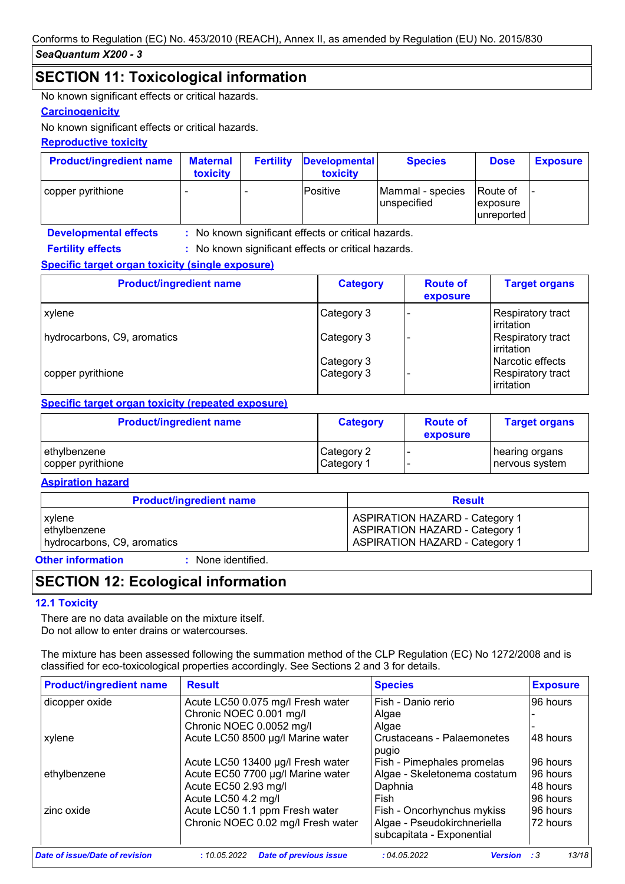## **SECTION 11: Toxicological information**

No known significant effects or critical hazards.

#### **Carcinogenicity**

No known significant effects or critical hazards.

#### **Reproductive toxicity**

| <b>Product/ingredient name</b> | <b>Maternal</b><br>toxicity | <b>Fertility</b> | <b>Developmental</b><br>toxicity | <b>Species</b>                  | <b>Dose</b>                         | <b>Exposure</b> |
|--------------------------------|-----------------------------|------------------|----------------------------------|---------------------------------|-------------------------------------|-----------------|
| copper pyrithione              |                             |                  | lPositive                        | Mammal - species<br>unspecified | Route of<br>exposure<br>lunreported |                 |

**Developmental effects : Fertility effects :**

: No known significant effects or critical hazards.

: No known significant effects or critical hazards.

#### **Specific target organ toxicity (single exposure)**

| <b>Product/ingredient name</b> | <b>Category</b> | <b>Route of</b><br>exposure | <b>Target organs</b>                    |
|--------------------------------|-----------------|-----------------------------|-----------------------------------------|
| xylene                         | Category 3      |                             | Respiratory tract<br><b>lirritation</b> |
| hydrocarbons, C9, aromatics    | Category 3      |                             | Respiratory tract<br>irritation         |
|                                | Category 3      |                             | Narcotic effects                        |
| copper pyrithione              | Category 3      |                             | Respiratory tract<br>irritation         |

#### **Specific target organ toxicity (repeated exposure)**

| <b>Product/ingredient name</b> | <b>Category</b> | <b>Route of</b><br>exposure | <b>Target organs</b> |
|--------------------------------|-----------------|-----------------------------|----------------------|
| ethylbenzene                   | Category 2      |                             | hearing organs       |
| copper pyrithione              | Category 1      |                             | nervous system       |

#### **Aspiration hazard**

| <b>Product/ingredient name</b> | <b>Result</b>                         |
|--------------------------------|---------------------------------------|
| xylene                         | <b>ASPIRATION HAZARD - Category 1</b> |
| ethylbenzene                   | <b>ASPIRATION HAZARD - Category 1</b> |
| hydrocarbons, C9, aromatics    | <b>ASPIRATION HAZARD - Category 1</b> |

**Other information :**

: None identified.

## **SECTION 12: Ecological information**

#### **12.1 Toxicity**

There are no data available on the mixture itself. Do not allow to enter drains or watercourses.

The mixture has been assessed following the summation method of the CLP Regulation (EC) No 1272/2008 and is classified for eco-toxicological properties accordingly. See Sections 2 and 3 for details.

| <b>Product/ingredient name</b> | <b>Result</b>                                 | <b>Species</b>                | <b>Exposure</b>     |
|--------------------------------|-----------------------------------------------|-------------------------------|---------------------|
| dicopper oxide                 | Acute LC50 0.075 mg/l Fresh water             | Fish - Danio rerio            | 96 hours            |
|                                | Chronic NOEC 0.001 mg/l                       | Algae                         |                     |
|                                | Chronic NOEC 0.0052 mg/l                      | Algae                         |                     |
| xylene                         | Acute LC50 8500 µg/l Marine water             | Crustaceans - Palaemonetes    | 48 hours            |
|                                |                                               | pugio                         |                     |
|                                | Acute LC50 13400 µg/l Fresh water             | Fish - Pimephales promelas    | 96 hours            |
| ethylbenzene                   | Acute EC50 7700 µg/l Marine water             | Algae - Skeletonema costatum  | 96 hours            |
|                                | Acute EC50 2.93 mg/l                          | Daphnia                       | 48 hours            |
|                                | Acute LC50 4.2 mg/l                           | Fish                          | 96 hours            |
| zinc oxide                     | Acute LC50 1.1 ppm Fresh water                | Fish - Oncorhynchus mykiss    | 96 hours            |
|                                | Chronic NOEC 0.02 mg/l Fresh water            | Algae - Pseudokirchneriella   | 72 hours            |
|                                |                                               | subcapitata - Exponential     |                     |
| Date of issue/Date of revision | <b>Date of previous issue</b><br>: 10.05.2022 | :04.05.2022<br><b>Version</b> | 13/18<br>$\cdot$ :3 |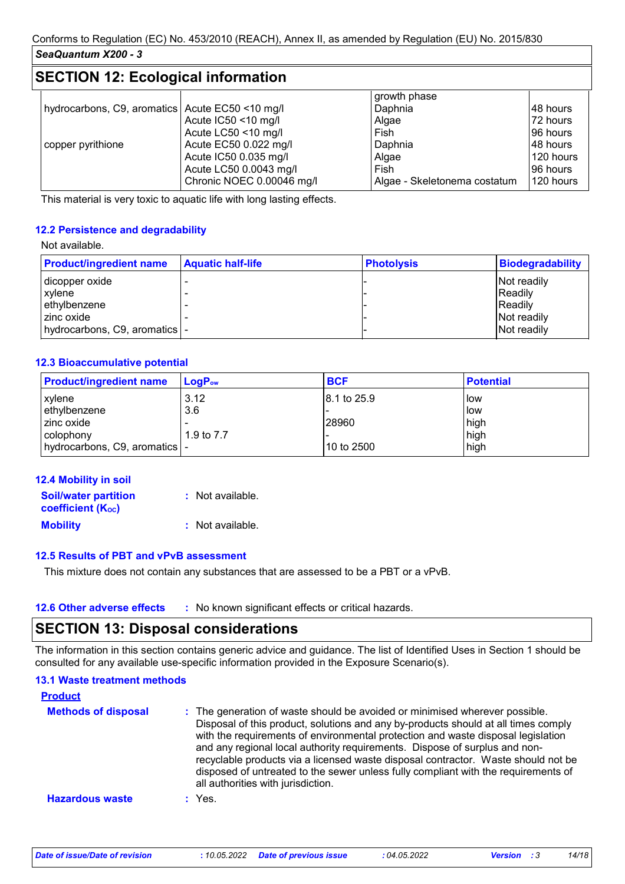## **SECTION 12: Ecological information**

|                                                   |                           | growth phase                 |           |
|---------------------------------------------------|---------------------------|------------------------------|-----------|
| hydrocarbons, C9, aromatics   Acute EC50 <10 mg/l |                           | Daphnia                      | 148 hours |
|                                                   | Acute IC50 <10 mg/l       | Algae                        | 72 hours  |
|                                                   | Acute LC50 <10 mg/l       | Fish                         | 196 hours |
| copper pyrithione                                 | Acute EC50 0.022 mg/l     | Daphnia                      | 48 hours  |
|                                                   | Acute IC50 0.035 mg/l     | Algae                        | 120 hours |
|                                                   | Acute LC50 0.0043 mg/l    | Fish                         | 96 hours  |
|                                                   | Chronic NOEC 0.00046 mg/l | Algae - Skeletonema costatum | 120 hours |

This material is very toxic to aquatic life with long lasting effects.

#### **12.2 Persistence and degradability**

#### Not available.

| <b>Product/ingredient name</b> | <b>Aquatic half-life</b> | <b>Photolysis</b> | Biodegradability |
|--------------------------------|--------------------------|-------------------|------------------|
| dicopper oxide                 |                          |                   | Not readily      |
| <b>xvlene</b>                  |                          |                   | Readily          |
| ethylbenzene                   |                          |                   | Readily          |
| I zinc oxide                   |                          |                   | Not readily      |
| hydrocarbons, C9, aromatics  - |                          |                   | Not readily      |

#### **12.3 Bioaccumulative potential**

| <b>Product/ingredient name</b>  | $LogP_{ow}$ | <b>BCF</b>   | <b>Potential</b> |
|---------------------------------|-------------|--------------|------------------|
| xylene                          | 3.12        | 18.1 to 25.9 | low              |
| ethylbenzene                    | 3.6         |              | low              |
| zinc oxide                      |             | 28960        | high             |
| colophony                       | 1.9 to 7.7  |              | high             |
| hydrocarbons, C9, aromatics   - |             | 10 to 2500   | high             |

| 12.4 Mobility in soil                                   |                  |
|---------------------------------------------------------|------------------|
| <b>Soil/water partition</b><br><b>coefficient (Koc)</b> | : Not available. |
| <b>Mobility</b>                                         | : Not available. |

#### **12.5 Results of PBT and vPvB assessment**

This mixture does not contain any substances that are assessed to be a PBT or a vPvB.

| <b>12.6 Other adverse effects</b><br>: No known significant effects or critical hazards. |  |
|------------------------------------------------------------------------------------------|--|
|------------------------------------------------------------------------------------------|--|

## **SECTION 13: Disposal considerations**

The information in this section contains generic advice and guidance. The list of Identified Uses in Section 1 should be consulted for any available use-specific information provided in the Exposure Scenario(s).

| <b>13.1 Waste treatment methods</b> |                                                                                                                                                                                                                                                                                                                                                                                                                                                                                                                                                      |
|-------------------------------------|------------------------------------------------------------------------------------------------------------------------------------------------------------------------------------------------------------------------------------------------------------------------------------------------------------------------------------------------------------------------------------------------------------------------------------------------------------------------------------------------------------------------------------------------------|
| <b>Product</b>                      |                                                                                                                                                                                                                                                                                                                                                                                                                                                                                                                                                      |
| <b>Methods of disposal</b>          | : The generation of waste should be avoided or minimised wherever possible.<br>Disposal of this product, solutions and any by-products should at all times comply<br>with the requirements of environmental protection and waste disposal legislation<br>and any regional local authority requirements. Dispose of surplus and non-<br>recyclable products via a licensed waste disposal contractor. Waste should not be<br>disposed of untreated to the sewer unless fully compliant with the requirements of<br>all authorities with jurisdiction. |
| <b>Hazardous waste</b>              | $:$ Yes.                                                                                                                                                                                                                                                                                                                                                                                                                                                                                                                                             |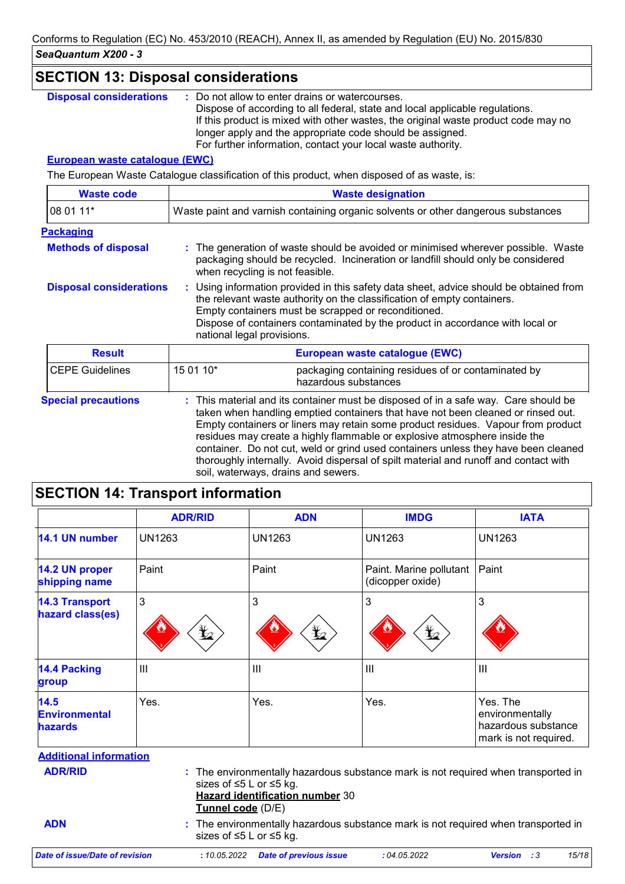| <b>SECTION 13: Disposal considerations</b>                                       |                                                                                                                                                                                                                                                                                                                                                                                                                                                                                                                        |  |
|----------------------------------------------------------------------------------|------------------------------------------------------------------------------------------------------------------------------------------------------------------------------------------------------------------------------------------------------------------------------------------------------------------------------------------------------------------------------------------------------------------------------------------------------------------------------------------------------------------------|--|
| <b>Disposal considerations</b>                                                   | Do not allow to enter drains or watercourses.<br>Dispose of according to all federal, state and local applicable regulations.<br>If this product is mixed with other wastes, the original waste product code may no<br>longer apply and the appropriate code should be assigned.<br>For further information, contact your local waste authority.                                                                                                                                                                       |  |
| <b>European waste catalogue (EWC)</b>                                            |                                                                                                                                                                                                                                                                                                                                                                                                                                                                                                                        |  |
|                                                                                  | The European Waste Catalogue classification of this product, when disposed of as waste, is:                                                                                                                                                                                                                                                                                                                                                                                                                            |  |
| <b>Waste code</b>                                                                | <b>Waste designation</b>                                                                                                                                                                                                                                                                                                                                                                                                                                                                                               |  |
| 08 01 11*                                                                        | Waste paint and varnish containing organic solvents or other dangerous substances                                                                                                                                                                                                                                                                                                                                                                                                                                      |  |
| <b>Packaging</b><br><b>Methods of disposal</b><br><b>Disposal considerations</b> | The generation of waste should be avoided or minimised wherever possible. Waste<br>packaging should be recycled. Incineration or landfill should only be considered<br>when recycling is not feasible.<br>: Using information provided in this safety data sheet, advice should be obtained from                                                                                                                                                                                                                       |  |
|                                                                                  | the relevant waste authority on the classification of empty containers.<br>Empty containers must be scrapped or reconditioned.<br>Dispose of containers contaminated by the product in accordance with local or<br>national legal provisions.                                                                                                                                                                                                                                                                          |  |
| <b>Result</b>                                                                    | European waste catalogue (EWC)                                                                                                                                                                                                                                                                                                                                                                                                                                                                                         |  |
| <b>CEPE Guidelines</b>                                                           | 15 01 10*<br>packaging containing residues of or contaminated by<br>hazardous substances                                                                                                                                                                                                                                                                                                                                                                                                                               |  |
| <b>Special precautions</b>                                                       | : This material and its container must be disposed of in a safe way. Care should be<br>taken when handling emptied containers that have not been cleaned or rinsed out.<br>Empty containers or liners may retain some product residues. Vapour from product<br>residues may create a highly flammable or explosive atmosphere inside the<br>container. Do not cut, weld or grind used containers unless they have been cleaned<br>thoroughly internally. Avoid dispersal of spilt material and runoff and contact with |  |

## **SECTION 14: Transport information**

|                                                | <b>ADR/RID</b>      | <b>ADN</b>                                                 | <b>IMDG</b>                                                                        | <b>IATA</b>                                                                 |  |
|------------------------------------------------|---------------------|------------------------------------------------------------|------------------------------------------------------------------------------------|-----------------------------------------------------------------------------|--|
| 14.1 UN number                                 | <b>UN1263</b>       | <b>UN1263</b>                                              | <b>UN1263</b>                                                                      | <b>UN1263</b>                                                               |  |
| 14.2 UN proper<br>shipping name                | Paint               | Paint                                                      | Paint. Marine pollutant<br>(dicopper oxide)                                        | Paint                                                                       |  |
| <b>14.3 Transport</b><br>hazard class(es)      | 3<br>$\mathbf{Y}_2$ | 3<br>$\bigstar$                                            | 3<br>q                                                                             | 3                                                                           |  |
| <b>14.4 Packing</b><br>group                   | III                 | III                                                        | $\mathbf{III}$                                                                     | $\mathbf{III}$                                                              |  |
| 14.5<br><b>Environmental</b><br><b>hazards</b> | Yes.                | Yes.                                                       | Yes.                                                                               | Yes. The<br>environmentally<br>hazardous substance<br>mark is not required. |  |
| <b>Additional information</b>                  |                     |                                                            |                                                                                    |                                                                             |  |
| <b>ADR/RID</b>                                 | Tunnel code (D/E)   | sizes of ≤5 L or ≤5 kg.<br>Hazard identification number 30 | : The environmentally hazardous substance mark is not required when transported in |                                                                             |  |
| <b>ADN</b>                                     |                     | sizes of ≤5 L or ≤5 kg.                                    | : The environmentally hazardous substance mark is not required when transported in |                                                                             |  |
| <b>Date of issue/Date of revision</b>          | : 10.05.2022        | <b>Date of previous issue</b>                              | :04.05.2022                                                                        | 15/18<br>:3<br><b>Version</b>                                               |  |

soil, waterways, drains and sewers.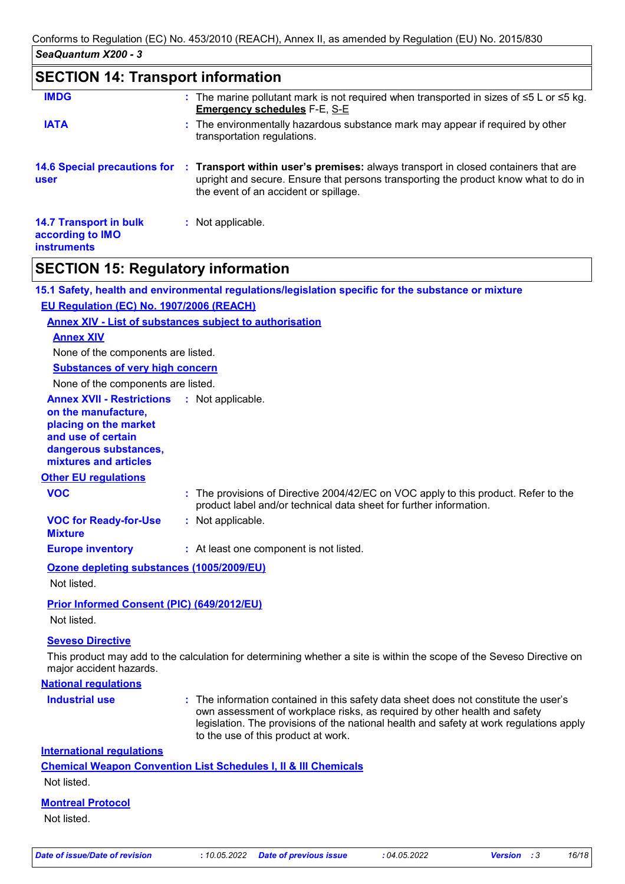## **SECTION 14: Transport information**

| <b>IMDG</b>                                                             | : The marine pollutant mark is not required when transported in sizes of $\leq 5$ L or $\leq 5$ kg.<br><b>Emergency schedules F-E, S-E</b>                                                                         |
|-------------------------------------------------------------------------|--------------------------------------------------------------------------------------------------------------------------------------------------------------------------------------------------------------------|
| <b>IATA</b>                                                             | : The environmentally hazardous substance mark may appear if required by other<br>transportation regulations.                                                                                                      |
| <b>14.6 Special precautions for</b><br>user                             | : Transport within user's premises: always transport in closed containers that are<br>upright and secure. Ensure that persons transporting the product know what to do in<br>the event of an accident or spillage. |
| <b>14.7 Transport in bulk</b><br>according to IMO<br><b>instruments</b> | : Not applicable.                                                                                                                                                                                                  |

## **SECTION 15: Regulatory information**

**15.1 Safety, health and environmental regulations/legislation specific for the substance or mixture EU Regulation (EC) No. 1907/2006 (REACH)**

#### **Annex XIV - List of substances subject to authorisation**

#### **Annex XIV**

None of the components are listed.

**Substances of very high concern**

None of the components are listed.

#### **Annex XVII - Restrictions** : Not applicable.

**on the manufacture, placing on the market and use of certain dangerous substances, mixtures and articles**

#### **Other EU regulations**

| <b>VOC</b> | : The provisions of Directive 2004/42/EC on VOC apply to this product. Refer to the |
|------------|-------------------------------------------------------------------------------------|
|            | product label and/or technical data sheet for further information.                  |

**VOC for Ready-for-Use :** Not applicable.

**Mixture**

## **Europe inventory :** At least one component is not listed.

#### **Ozone depleting substances (1005/2009/EU)**

Not listed.

#### **Prior Informed Consent (PIC) (649/2012/EU)**

Not listed.

#### **Seveso Directive**

This product may add to the calculation for determining whether a site is within the scope of the Seveso Directive on major accident hazards.

#### **National regulations**

- 
- **Industrial use <b>:** The information contained in this safety data sheet does not constitute the user's own assessment of workplace risks, as required by other health and safety legislation. The provisions of the national health and safety at work regulations apply to the use of this product at work.

#### **International regulations**

**Chemical Weapon Convention List Schedules I, II & III Chemicals** Not listed.

## **Montreal Protocol**

Not listed.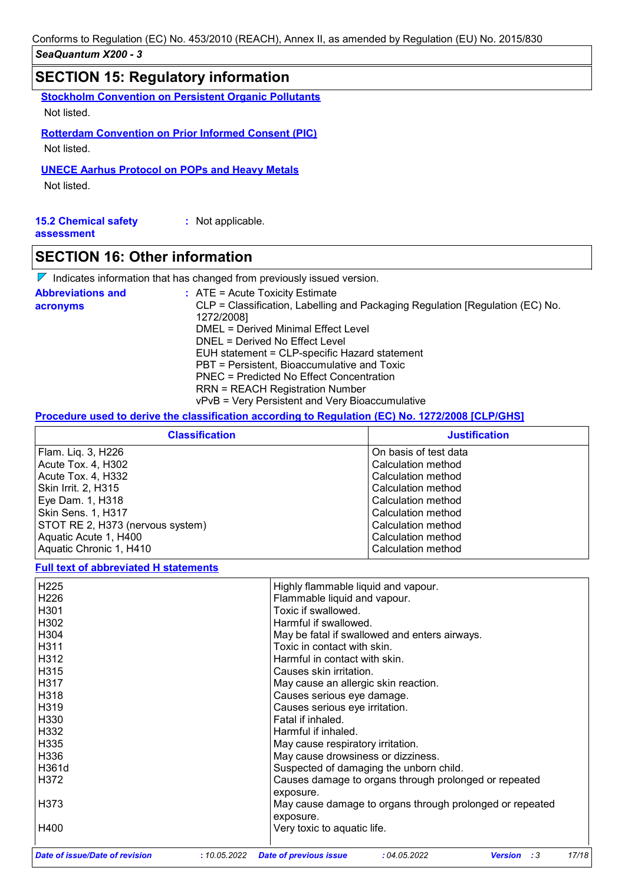## **SECTION 15: Regulatory information**

**Stockholm Convention on Persistent Organic Pollutants**

Not listed.

**Rotterdam Convention on Prior Informed Consent (PIC)**

Not listed.

**UNECE Aarhus Protocol on POPs and Heavy Metals**

Not listed.

| <b>15.2 Chemical safety</b> | : Not applicable. |  |  |
|-----------------------------|-------------------|--|--|
| assessment                  |                   |  |  |

## **SECTION 16: Other information**

 $\nabla$  Indicates information that has changed from previously issued version.

| <b>Abbreviations and</b> | $:$ ATE = Acute Toxicity Estimate                                                           |
|--------------------------|---------------------------------------------------------------------------------------------|
| acronyms                 | CLP = Classification, Labelling and Packaging Regulation [Regulation (EC) No.<br>1272/2008] |
|                          | DMEL = Derived Minimal Effect Level                                                         |
|                          | DNEL = Derived No Effect Level                                                              |
|                          | EUH statement = CLP-specific Hazard statement                                               |
|                          | PBT = Persistent, Bioaccumulative and Toxic                                                 |
|                          | PNEC = Predicted No Effect Concentration                                                    |
|                          | <b>RRN = REACH Registration Number</b>                                                      |
|                          | vPvB = Very Persistent and Very Bioaccumulative                                             |

#### **Procedure used to derive the classification according to Regulation (EC) No. 1272/2008 [CLP/GHS]**

| <b>Classification</b>            | <b>Justification</b>  |  |  |
|----------------------------------|-----------------------|--|--|
| Flam. Liq. 3, H226               | On basis of test data |  |  |
| Acute Tox. 4, H302               | Calculation method    |  |  |
| Acute Tox. 4, H332               | Calculation method    |  |  |
| Skin Irrit. 2, H315              | Calculation method    |  |  |
| Eye Dam. 1, H318                 | Calculation method    |  |  |
| Skin Sens. 1, H317               | Calculation method    |  |  |
| STOT RE 2, H373 (nervous system) | Calculation method    |  |  |
| Aquatic Acute 1, H400            | Calculation method    |  |  |
| Aquatic Chronic 1, H410          | Calculation method    |  |  |

#### **Full text of abbreviated H statements**

| <b>Date of issue/Date of revision</b> | : 10.05.2022 | <b>Date of previous issue</b>                                      | :04.05.2022 | :3<br><b>Version</b>                                     | 17/18 |
|---------------------------------------|--------------|--------------------------------------------------------------------|-------------|----------------------------------------------------------|-------|
| H400                                  |              | Very toxic to aquatic life.                                        |             |                                                          |       |
| H373                                  |              | exposure.                                                          |             | May cause damage to organs through prolonged or repeated |       |
|                                       |              | Causes damage to organs through prolonged or repeated<br>exposure. |             |                                                          |       |
| H361d<br>H372                         |              | Suspected of damaging the unborn child.                            |             |                                                          |       |
| H336                                  |              | May cause drowsiness or dizziness.                                 |             |                                                          |       |
| H335                                  |              | May cause respiratory irritation.                                  |             |                                                          |       |
| H332                                  |              | Harmful if inhaled.                                                |             |                                                          |       |
| H330                                  |              | Fatal if inhaled.                                                  |             |                                                          |       |
| H319                                  |              | Causes serious eye irritation.                                     |             |                                                          |       |
| H318                                  |              | Causes serious eye damage.                                         |             |                                                          |       |
| H317                                  |              | May cause an allergic skin reaction.                               |             |                                                          |       |
| H315                                  |              | Causes skin irritation.                                            |             |                                                          |       |
| H312                                  |              | Harmful in contact with skin.                                      |             |                                                          |       |
| H311                                  |              | Toxic in contact with skin.                                        |             |                                                          |       |
| H304                                  |              | May be fatal if swallowed and enters airways.                      |             |                                                          |       |
| H302                                  |              | Harmful if swallowed.                                              |             |                                                          |       |
| H <sub>301</sub>                      |              | Toxic if swallowed.                                                |             |                                                          |       |
| H <sub>226</sub>                      |              | Flammable liquid and vapour.                                       |             |                                                          |       |
| H <sub>225</sub>                      |              | Highly flammable liquid and vapour.                                |             |                                                          |       |